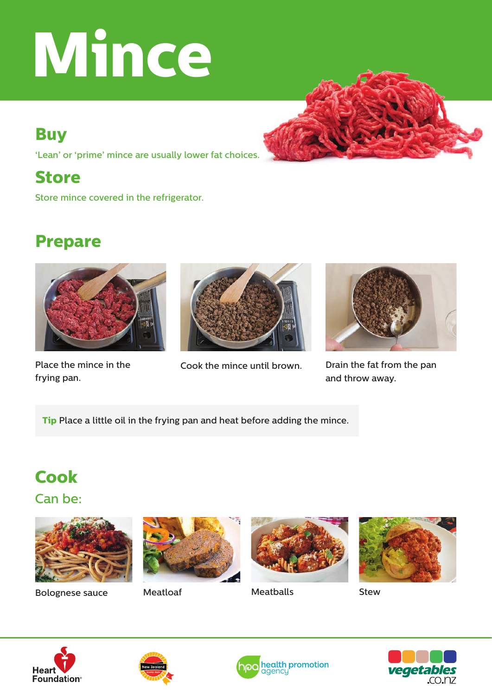# **Mince**

## **Buy**

'Lean' or 'prime' mince are usually lower fat choices.

## **Store**

Store mince covered in the refrigerator.

# **Prepare**



frying pan.



Place the mince in the Cook the mince until brown.



Drain the fat from the pan and throw away.

**Tip** Place a little oil in the frying pan and heat before adding the mince.

# **Cook**

Can be:



Bolognese sauce



Meatloaf Meatballs Stew